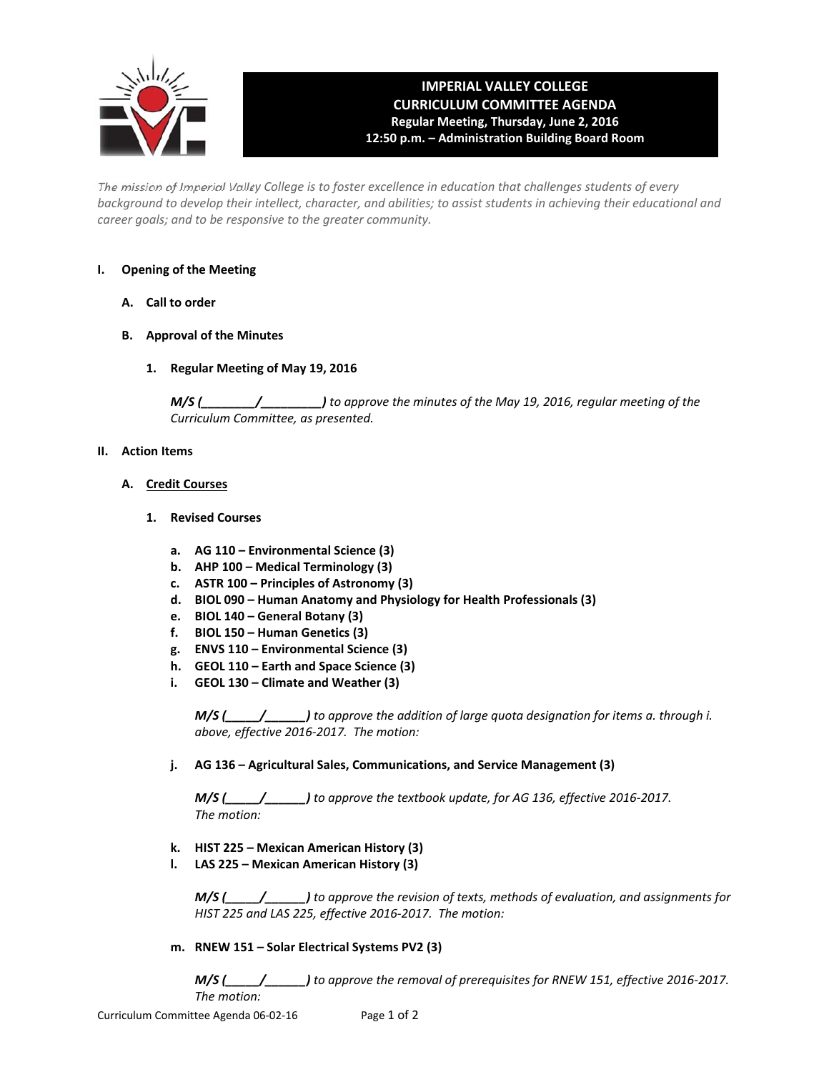

# **IMPERIAL VALLEY COLLEGE CURRICULUM COMMITTEE AGENDA Regular Meeting, Thursday, June 2, 2016 12:50 p.m. – Administration Building Board Room**

The mission of Imperial Valley College is to foster excellence in education that challenges students of every background to develop their intellect, character, and abilities; to assist students in achieving their educational and *career goals; and to be responsive to the greater community.*

### **I. Opening of the Meeting**

- **A. Call to order**
- **B. Approval of the Minutes**
	- **1. Regular Meeting of May 19, 2016**

*M/S (\_\_\_\_\_\_\_\_/\_\_\_\_\_\_\_\_\_) to approve the minutes of the May 19, 2016, regular meeting of the Curriculum Committee, as presented.* 

#### **II. Action Items**

- **A. Credit Courses**
	- **1. Revised Courses**
		- **a. AG 110 – Environmental Science (3)**
		- **b. AHP 100 – Medical Terminology (3)**
		- **c. ASTR 100 – Principles of Astronomy (3)**
		- **d. BIOL 090 – Human Anatomy and Physiology for Health Professionals (3)**
		- **e. BIOL 140 – General Botany (3)**
		- **f. BIOL 150 – Human Genetics (3)**
		- **g. ENVS 110 – Environmental Science (3)**
		- **h. GEOL 110 – Earth and Space Science (3)**
		- **i. GEOL 130 – Climate and Weather (3)**

 *M/S (\_\_\_\_\_/\_\_\_\_\_\_) to approve the addition of large quota designation for items a. through i. above, effective 2016‐2017. The motion:*

### **j. AG 136 – Agricultural Sales, Communications, and Service Management (3)**

 *M/S (\_\_\_\_\_/\_\_\_\_\_\_) to approve the textbook update, for AG 136, effective 2016‐2017. The motion:*

- **k. HIST 225 – Mexican American History (3)**
- **l. LAS 225 – Mexican American History (3)**

 *M/S (\_\_\_\_\_/\_\_\_\_\_\_) to approve the revision of texts, methods of evaluation, and assignments for HIST 225 and LAS 225, effective 2016‐2017. The motion:*

**m. RNEW 151 – Solar Electrical Systems PV2 (3)**

 *M/S (\_\_\_\_\_/\_\_\_\_\_\_) to approve the removal of prerequisites for RNEW 151, effective 2016‐2017. The motion:*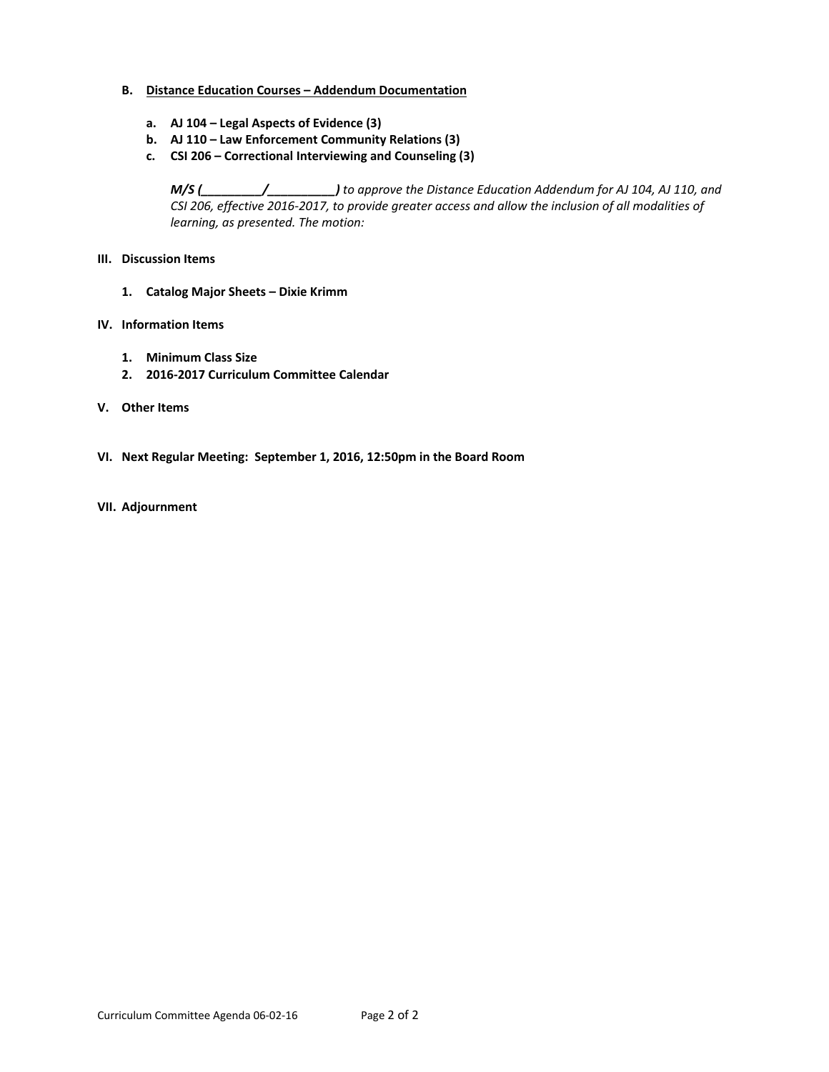#### **B. Distance Education Courses – Addendum Documentation**

- **a. AJ 104 – Legal Aspects of Evidence (3)**
- **b. AJ 110 – Law Enforcement Community Relations (3)**
- **c. CSI 206 – Correctional Interviewing and Counseling (3)**

*M/S (\_\_\_\_\_\_\_\_\_/\_\_\_\_\_\_\_\_\_\_) to approve the Distance Education Addendum for AJ 104, AJ 110, and* CSI 206, effective 2016-2017, to provide greater access and allow the inclusion of all modalities of *learning, as presented. The motion:*

#### **III. Discussion Items**

**1. Catalog Major Sheets – Dixie Krimm**

#### **IV. Information Items**

- **1. Minimum Class Size**
- **2. 2016‐2017 Curriculum Committee Calendar**
- **V. Other Items**
- **VI. Next Regular Meeting: September 1, 2016, 12:50pm in the Board Room**
- **VII. Adjournment**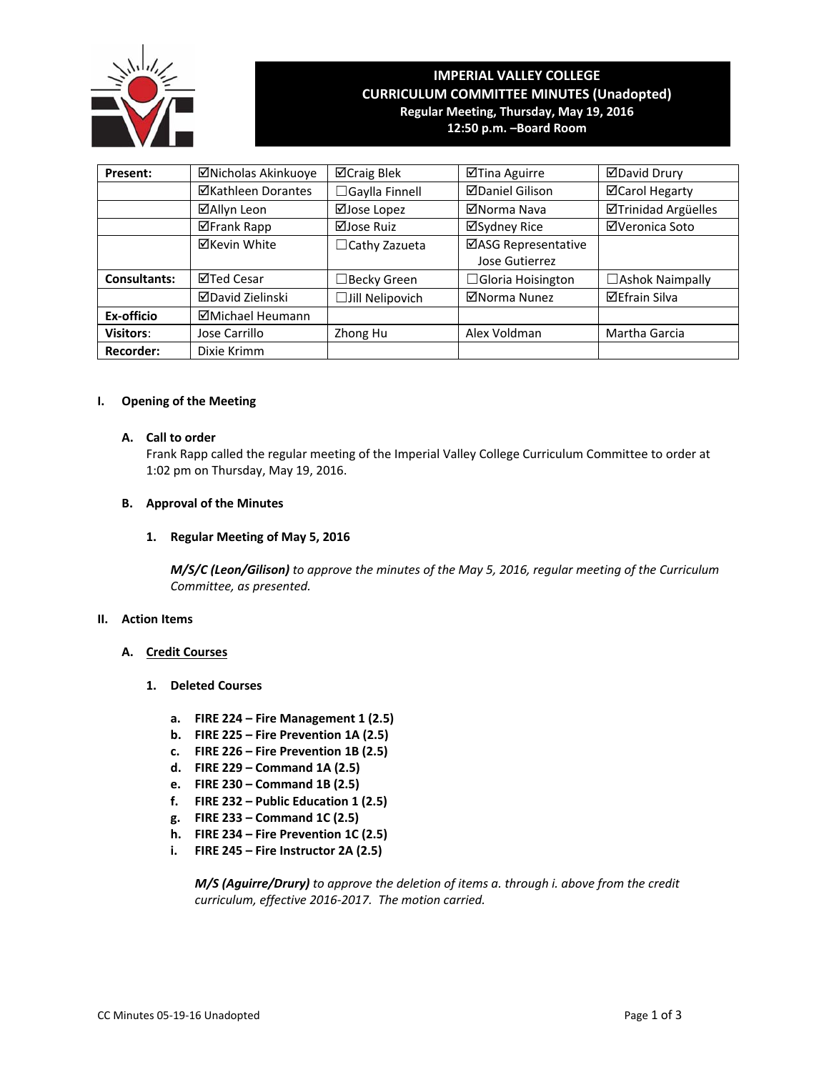

## **IMPERIAL VALLEY COLLEGE CURRICULUM COMMITTEE MINUTES (Unadopted) Regular Meeting, Thursday, May 19, 2016 12:50 p.m. –Board Room**

| Present:            | ⊠Nicholas Akinkuoye | <b>⊠Craig Blek</b>      | ⊠Tina Aguirre            | <b>ØDavid Drury</b>    |
|---------------------|---------------------|-------------------------|--------------------------|------------------------|
|                     | ⊠Kathleen Dorantes  | <b>3 Gaylla Finnell</b> | <b>⊠Daniel Gilison</b>   | ⊠Carol Hegarty         |
|                     | ⊠Allyn Leon         | ⊠Jose Lopez             | ⊠Norma Nava              | ⊠Trinidad Argüelles    |
|                     | ⊠Frank Rapp         | ⊠Jose Ruiz              | ⊠Sydney Rice             | ⊠Veronica Soto         |
|                     | <b>⊠Kevin White</b> | $\Box$ Cathy Zazueta    | ⊠ASG Representative      |                        |
|                     |                     |                         | Jose Gutierrez           |                        |
| <b>Consultants:</b> | ⊠Ted Cesar          | ∃Becky Green            | $\Box$ Gloria Hoisington | $\Box$ Ashok Naimpally |
|                     | ⊠David Zielinski    | Jill Nelipovich         | ⊠Norma Nunez             | <b>⊠Efrain Silva</b>   |
| Ex-officio          | ⊠Michael Heumann    |                         |                          |                        |
| <b>Visitors:</b>    | Jose Carrillo       | Zhong Hu                | Alex Voldman             | Martha Garcia          |
| <b>Recorder:</b>    | Dixie Krimm         |                         |                          |                        |

#### **I. Opening of the Meeting**

#### **A. Call to order**

Frank Rapp called the regular meeting of the Imperial Valley College Curriculum Committee to order at 1:02 pm on Thursday, May 19, 2016.

#### **B. Approval of the Minutes**

#### **1. Regular Meeting of May 5, 2016**

*M/S/C (Leon/Gilison) to approve the minutes of the May 5, 2016, regular meeting of the Curriculum Committee, as presented.* 

#### **II. Action Items**

#### **A. Credit Courses**

- **1. Deleted Courses**
	- **a. FIRE 224 – Fire Management 1 (2.5)**
	- **b. FIRE 225 – Fire Prevention 1A (2.5)**
	- **c. FIRE 226 – Fire Prevention 1B (2.5)**
	- **d. FIRE 229 – Command 1A (2.5)**
	- **e. FIRE 230 – Command 1B (2.5)**
	- **f. FIRE 232 – Public Education 1 (2.5)**
	- **g. FIRE 233 – Command 1C (2.5)**
	- **h. FIRE 234 – Fire Prevention 1C (2.5)**
	- **i. FIRE 245 – Fire Instructor 2A (2.5)**

*M/S (Aguirre/Drury) to approve the deletion of items a. through i. above from the credit curriculum, effective 2016‐2017. The motion carried.*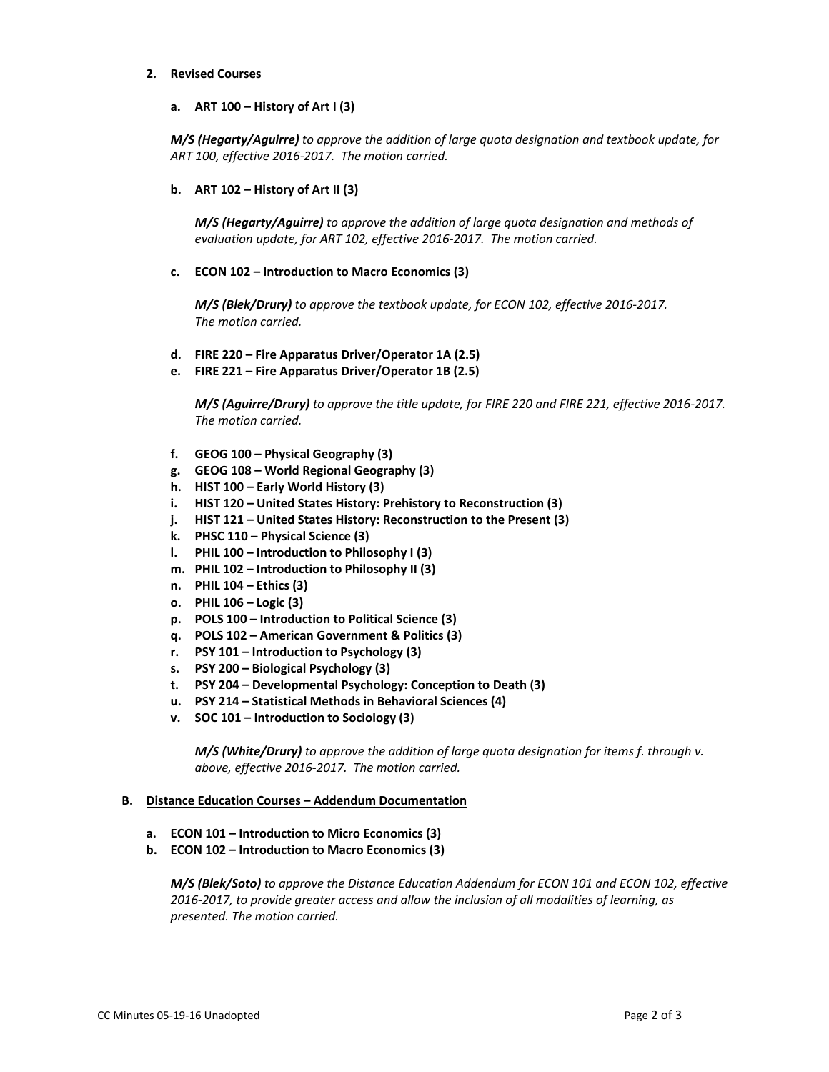#### **2. Revised Courses**

**a. ART 100 – History of Art I (3)**

*M/S (Hegarty/Aguirre) to approve the addition of large quota designation and textbook update, for ART 100, effective 2016‐2017. The motion carried.*

**b. ART 102 – History of Art II (3)**

 *M/S (Hegarty/Aguirre) to approve the addition of large quota designation and methods of evaluation update, for ART 102, effective 2016‐2017. The motion carried.*

**c. ECON 102 – Introduction to Macro Economics (3)**

 *M/S (Blek/Drury) to approve the textbook update, for ECON 102, effective 2016‐2017. The motion carried.*

- **d. FIRE 220 – Fire Apparatus Driver/Operator 1A (2.5)**
- **e. FIRE 221 – Fire Apparatus Driver/Operator 1B (2.5)**

M/S (Aquirre/Drury) to approve the title update, for FIRE 220 and FIRE 221, effective 2016-2017.  *The motion carried.*

- **f. GEOG 100 – Physical Geography (3)**
- **g. GEOG 108 – World Regional Geography (3)**
- **h. HIST 100 – Early World History (3)**
- **i. HIST 120 – United States History: Prehistory to Reconstruction (3)**
- **j. HIST 121 – United States History: Reconstruction to the Present (3)**
- **k. PHSC 110 – Physical Science (3)**
- **l. PHIL 100 – Introduction to Philosophy I (3)**
- **m. PHIL 102 – Introduction to Philosophy II (3)**
- **n. PHIL 104 – Ethics (3)**
- **o. PHIL 106 – Logic (3)**
- **p. POLS 100 – Introduction to Political Science (3)**
- **q. POLS 102 – American Government & Politics (3)**
- **r. PSY 101 – Introduction to Psychology (3)**
- **s. PSY 200 – Biological Psychology (3)**
- **t. PSY 204 – Developmental Psychology: Conception to Death (3)**
- **u. PSY 214 – Statistical Methods in Behavioral Sciences (4)**
- **v. SOC 101 – Introduction to Sociology (3)**

 *M/S (White/Drury) to approve the addition of large quota designation for items f. through v. above, effective 2016‐2017. The motion carried.*

#### **B. Distance Education Courses – Addendum Documentation**

- **a. ECON 101 – Introduction to Micro Economics (3)**
- **b. ECON 102 – Introduction to Macro Economics (3)**

*M/S (Blek/Soto) to approve the Distance Education Addendum for ECON 101 and ECON 102, effective 2016‐2017, to provide greater access and allow the inclusion of all modalities of learning, as presented. The motion carried.*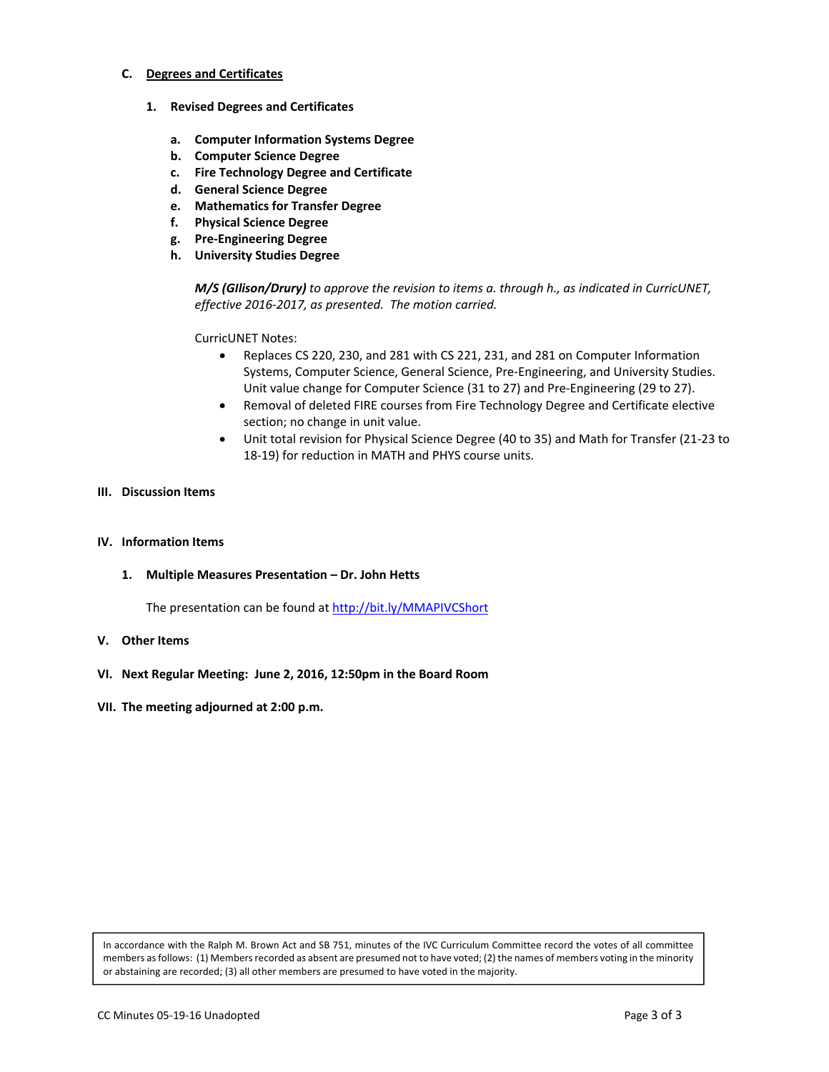#### **C. Degrees and Certificates**

- **1. Revised Degrees and Certificates**
	- **a. Computer Information Systems Degree**
	- **b. Computer Science Degree**
	- **c. Fire Technology Degree and Certificate**
	- **d. General Science Degree**
	- **e. Mathematics for Transfer Degree**
	- **f. Physical Science Degree**
	- **g. Pre‐Engineering Degree**
	- **h. University Studies Degree**

*M/S (GIlison/Drury) to approve the revision to items a. through h., as indicated in CurricUNET, effective 2016‐2017, as presented. The motion carried.*

CurricUNET Notes:

- Replaces CS 220, 230, and 281 with CS 221, 231, and 281 on Computer Information Systems, Computer Science, General Science, Pre‐Engineering, and University Studies. Unit value change for Computer Science (31 to 27) and Pre‐Engineering (29 to 27).
- Removal of deleted FIRE courses from Fire Technology Degree and Certificate elective section; no change in unit value.
- Unit total revision for Physical Science Degree (40 to 35) and Math for Transfer (21‐23 to 18‐19) for reduction in MATH and PHYS course units.

#### **III. Discussion Items**

#### **IV. Information Items**

**1. Multiple Measures Presentation – Dr. John Hetts**

The presentation can be found at http://bit.ly/MMAPIVCShort

- **V. Other Items**
- **VI. Next Regular Meeting: June 2, 2016, 12:50pm in the Board Room**
- **VII. The meeting adjourned at 2:00 p.m.**

In accordance with the Ralph M. Brown Act and SB 751, minutes of the IVC Curriculum Committee record the votes of all committee members asfollows: (1) Membersrecorded as absent are presumed not to have voted; (2) the names of members voting in the minority or abstaining are recorded; (3) all other members are presumed to have voted in the majority.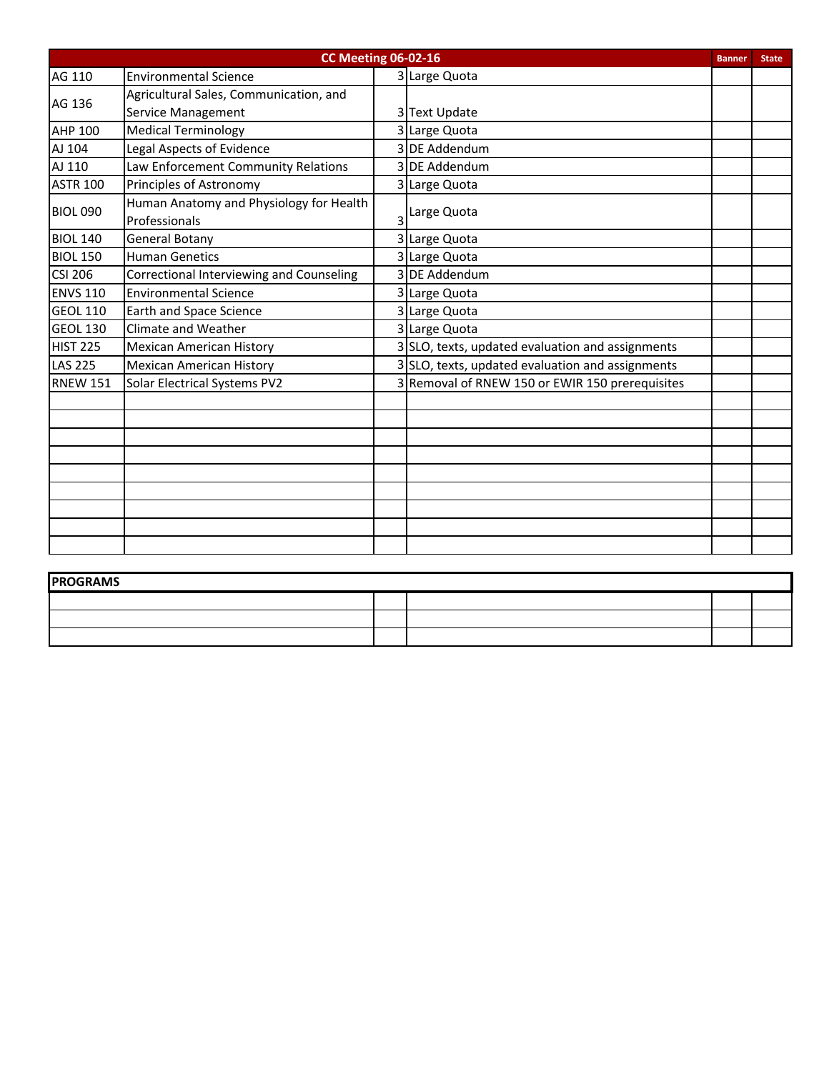|                 | <b>CC Meeting 06-02-16</b>               |   |                                                  | <b>Banner</b> | <b>State</b> |
|-----------------|------------------------------------------|---|--------------------------------------------------|---------------|--------------|
| AG 110          | <b>Environmental Science</b>             |   | 3 Large Quota                                    |               |              |
| AG 136          | Agricultural Sales, Communication, and   |   |                                                  |               |              |
|                 | Service Management                       |   | 3Text Update                                     |               |              |
| <b>AHP 100</b>  | <b>Medical Terminology</b>               |   | 3 Large Quota                                    |               |              |
| AJ 104          | Legal Aspects of Evidence                |   | 3 DE Addendum                                    |               |              |
| AJ 110          | Law Enforcement Community Relations      |   | 3 DE Addendum                                    |               |              |
| <b>ASTR 100</b> | Principles of Astronomy                  |   | 3 Large Quota                                    |               |              |
| <b>BIOL 090</b> | Human Anatomy and Physiology for Health  |   |                                                  |               |              |
|                 | Professionals                            | 3 | Large Quota                                      |               |              |
| <b>BIOL 140</b> | <b>General Botany</b>                    |   | 3 Large Quota                                    |               |              |
| <b>BIOL 150</b> | <b>Human Genetics</b>                    |   | 3 Large Quota                                    |               |              |
| <b>CSI 206</b>  | Correctional Interviewing and Counseling |   | 3 DE Addendum                                    |               |              |
| <b>ENVS 110</b> | <b>Environmental Science</b>             |   | 3 Large Quota                                    |               |              |
| <b>GEOL 110</b> | <b>Earth and Space Science</b>           |   | 3 Large Quota                                    |               |              |
| <b>GEOL 130</b> | <b>Climate and Weather</b>               |   | 3 Large Quota                                    |               |              |
| <b>HIST 225</b> | <b>Mexican American History</b>          |   | 3 SLO, texts, updated evaluation and assignments |               |              |
| <b>LAS 225</b>  | <b>Mexican American History</b>          |   | 3 SLO, texts, updated evaluation and assignments |               |              |
| <b>RNEW 151</b> | <b>Solar Electrical Systems PV2</b>      |   | 3 Removal of RNEW 150 or EWIR 150 prerequisites  |               |              |
|                 |                                          |   |                                                  |               |              |
|                 |                                          |   |                                                  |               |              |
|                 |                                          |   |                                                  |               |              |
|                 |                                          |   |                                                  |               |              |
|                 |                                          |   |                                                  |               |              |
|                 |                                          |   |                                                  |               |              |
|                 |                                          |   |                                                  |               |              |
|                 |                                          |   |                                                  |               |              |
|                 |                                          |   |                                                  |               |              |

| <b>PROGRAMS</b> |  |  |
|-----------------|--|--|
|                 |  |  |
|                 |  |  |
|                 |  |  |